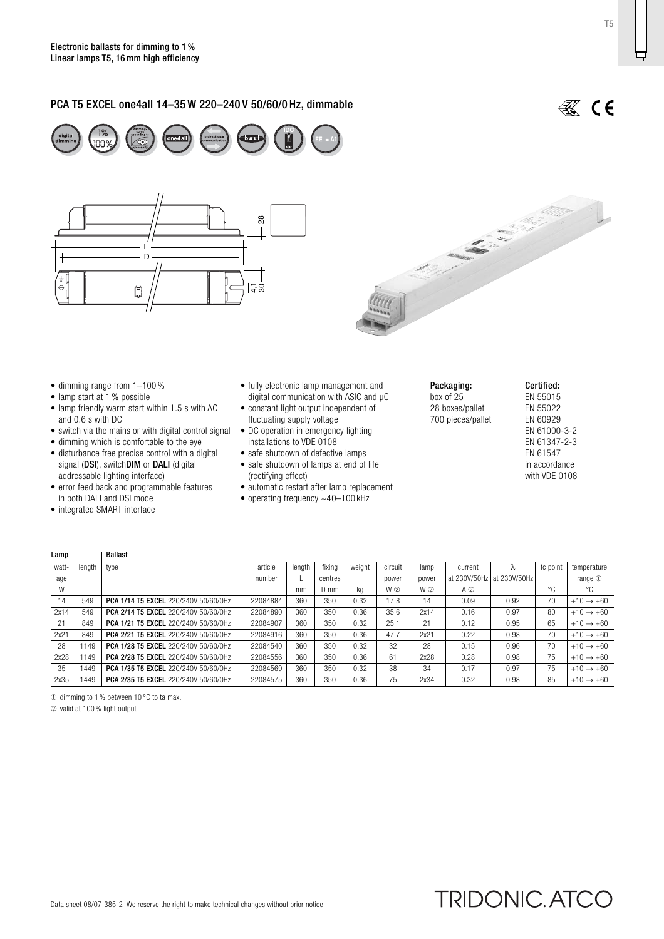# PCA T5 EXCEL one4all 14–35 W 220–240 V 50/60/0 Hz, dimmable







- dimming range from 1–100 %
- lamp start at 1 % possible
- lamp friendly warm start within 1.5 s with AC and 0.6 s with DC
- switch via the mains or with digital control signal
- dimming which is comfortable to the eye
- disturbance free precise control with a digital signal (DSI), switchDIM or DALI (digital addressable lighting interface)
- error feed back and programmable features in both DALI and DSI mode
- integrated SMART interface
- fully electronic lamp management and digital communication with ASIC and µC
- constant light output independent of fluctuating supply voltage
- DC operation in emergency lighting installations to VDE 0108
- safe shutdown of defective lamps
- safe shutdown of lamps at end of life
- (rectifying effect) • automatic restart after lamp replacement
- operating frequency ~40–100 kHz
- 
- Packaging: box of 25 28 boxes/pallet 700 pieces/pallet

#### Certified: EN 55015 EN 55022 EN 60929 EN 61000-3-2 EN 61347-2-3 EN 61547 in accordance with VDE 0108

| Lamp  |        | <b>Ballast</b>                       |          |        |         |        |         |       |              |              |          |                       |
|-------|--------|--------------------------------------|----------|--------|---------|--------|---------|-------|--------------|--------------|----------|-----------------------|
| watt- | length | type                                 | article  | lenath | fixina  | weight | circuit | lamp  | current      |              | tc point | temperature           |
| age   |        |                                      | number   |        | centres |        | power   | power | at 230V/50Hz | at 230V/50Hz |          | range $0$             |
| W     |        |                                      |          | mm     | D mm    | kg     | W 2     | W(2)  | $A$ ②        |              | °€       | °C                    |
| 14    | 549    | PCA 1/14 T5 EXCEL 220/240V 50/60/0Hz | 22084884 | 360    | 350     | 0.32   | 17.8    | 14    | 0.09         | 0.92         | 70       | $+10 \rightarrow +60$ |
| 2x14  | 549    | PCA 2/14 T5 EXCEL 220/240V 50/60/0Hz | 22084890 | 360    | 350     | 0.36   | 35.6    | 2x14  | 0.16         | 0.97         | 80       | $+10 \rightarrow +60$ |
| 21    | 849    | PCA 1/21 T5 EXCEL 220/240V 50/60/0Hz | 22084907 | 360    | 350     | 0.32   | 25.1    | 21    | 0.12         | 0.95         | 65       | $+10 \rightarrow +60$ |
| 2x21  | 849    | PCA 2/21 T5 EXCEL 220/240V 50/60/0Hz | 22084916 | 360    | 350     | 0.36   | 47.7    | 2x21  | 0.22         | 0.98         | 70       | $+10 \rightarrow +60$ |
| 28    | 1149   | PCA 1/28 T5 EXCEL 220/240V 50/60/0Hz | 22084540 | 360    | 350     | 0.32   | 32      | 28    | 0.15         | 0.96         | 70       | $+10 \rightarrow +60$ |
| 2x28  | 149    | PCA 2/28 T5 EXCEL 220/240V 50/60/0Hz | 22084556 | 360    | 350     | 0.36   | 61      | 2x28  | 0.28         | 0.98         | 75       | $+10 \rightarrow +60$ |
| 35    | 1449   | PCA 1/35 T5 EXCEL 220/240V 50/60/0Hz | 22084569 | 360    | 350     | 0.32   | 38      | 34    | 0.17         | 0.97         | 75       | $+10 \rightarrow +60$ |
| 2x35  | 1449   | PCA 2/35 T5 EXCEL 220/240V 50/60/0Hz | 22084575 | 360    | 350     | 0.36   | 75      | 2x34  | 0.32         | 0.98         | 85       | $+10 \rightarrow +60$ |

➀ dimming to 1 % between 10 °C to ta max.

➁ valid at 100 % light output

TRIDONIC. ATCO

T5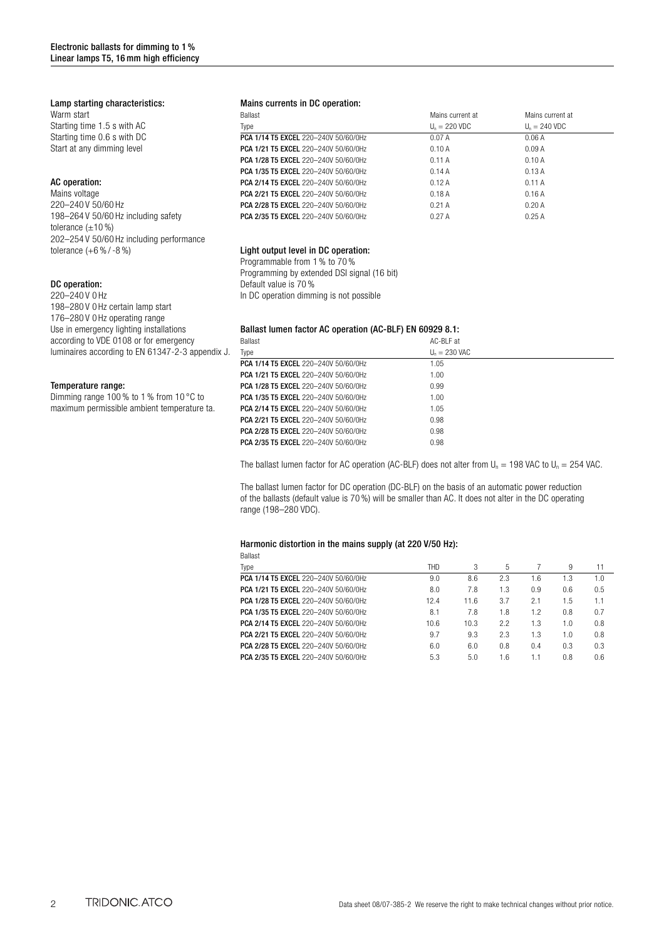### Lamp starting characteristics:

Warm start Starting time 1.5 s with AC Starting time 0.6 s with DC Start at any dimming level

## AC operation:

Mains voltage 220–240 V 50/60 Hz 198–264 V 50/60 Hz including safety tolerance  $(\pm 10\%)$ 202–254 V 50/60 Hz including performance tolerance (+6 % / -8 %)

#### DC operation:

220–240 V 0 Hz 198–280 V 0 Hz certain lamp start 176–280 V 0 Hz operating range Use in emergency lighting installations according to VDE 0108 or for emergency luminaires according to EN 61347-2-3 appendix J.

## Temperature range:

Dimming range 100 % to 1 % from 10 °C to maximum permissible ambient temperature ta.

### Mains currents in DC operation:

| <b>Ballast</b>                              | Mains current at | Mains current at |  |
|---------------------------------------------|------------------|------------------|--|
| Type                                        | $Un = 220 VDC$   | $Un = 240 VDC$   |  |
| PCA 1/14 T5 EXCEL 220-240V 50/60/0Hz        | 0.07A            | 0.06A            |  |
| <b>PCA 1/21 T5 EXCEL 220-240V 50/60/0Hz</b> | 0.10A            | 0.09A            |  |
| <b>PCA 1/28 T5 EXCEL</b> 220-240V 50/60/0Hz | 0.11A            | 0.10A            |  |
| <b>PCA 1/35 T5 EXCEL 220-240V 50/60/0Hz</b> | 0.14A            | 0.13A            |  |
| PCA 2/14 T5 EXCEL 220-240V 50/60/0Hz        | 0.12A            | 0.11A            |  |
| <b>PCA 2/21 T5 EXCEL 220-240V 50/60/0Hz</b> | 0.18A            | 0.16A            |  |
| <b>PCA 2/28 T5 EXCEL 220-240V 50/60/0Hz</b> | 0.21A            | 0.20A            |  |
| PCA 2/35 T5 EXCEL 220-240V 50/60/0Hz        | 0.27A            | 0.25A            |  |
|                                             |                  |                  |  |

#### Light output level in DC operation:

Programmable from 1 % to 70 % Programming by extended DSI signal (16 bit) Default value is 70 % In DC operation dimming is not possible

## Ballast lumen factor AC operation (AC-BLF) EN 60929 8.1:

| <b>Ballast</b>                              | AC-BIF at       |
|---------------------------------------------|-----------------|
| Type                                        | $U_n = 230$ VAC |
| PCA 1/14 T5 EXCEL 220-240V 50/60/0Hz        | 1.05            |
| <b>PCA 1/21 T5 EXCEL 220-240V 50/60/0Hz</b> | 1.00            |
| PCA 1/28 T5 EXCEL 220-240V 50/60/0Hz        | 0.99            |
| <b>PCA 1/35 T5 EXCEL 220-240V 50/60/0Hz</b> | 1.00            |
| <b>PCA 2/14 T5 EXCEL 220-240V 50/60/0Hz</b> | 1.05            |
| PCA 2/21 T5 EXCEL 220-240V 50/60/0Hz        | 0.98            |
| PCA 2/28 T5 EXCEL 220-240V 50/60/0Hz        | 0.98            |
| <b>PCA 2/35 T5 EXCEL 220-240V 50/60/0Hz</b> | 0.98            |

The ballast lumen factor for AC operation (AC-BLF) does not alter from  $U_n = 198$  VAC to  $U_n = 254$  VAC.

The ballast lumen factor for DC operation (DC-BLF) on the basis of an automatic power reduction of the ballasts (default value is 70 %) will be smaller than AC. It does not alter in the DC operating range (198–280 VDC).

### Harmonic distortion in the mains supply (at 220 V/50 Hz):

| <b>Ballast</b>                              |            |      |     |     |     |     |
|---------------------------------------------|------------|------|-----|-----|-----|-----|
| Type                                        | <b>THD</b> | 3    | 5   |     | 9   | 11  |
| PCA 1/14 T5 EXCEL 220-240V 50/60/0Hz        | 9.0        | 8.6  | 2.3 | 1.6 | 1.3 | 1.0 |
| <b>PCA 1/21 T5 EXCEL 220-240V 50/60/0Hz</b> | 8.0        | 7.8  | 1.3 | 0.9 | 0.6 | 0.5 |
| PCA 1/28 T5 EXCEL 220-240V 50/60/0Hz        | 12.4       | 11.6 | 3.7 | 2.1 | 1.5 | 1.1 |
| <b>PCA 1/35 T5 EXCEL 220-240V 50/60/0Hz</b> | 8.1        | 7.8  | 1.8 | 1.2 | 0.8 | 0.7 |
| <b>PCA 2/14 T5 EXCEL 220-240V 50/60/0Hz</b> | 10.6       | 10.3 | 2.2 | 1.3 | 1.0 | 0.8 |
| <b>PCA 2/21 T5 EXCEL 220-240V 50/60/0Hz</b> | 9.7        | 9.3  | 2.3 | 1.3 | 1.0 | 0.8 |
| PCA 2/28 T5 EXCEL 220-240V 50/60/0Hz        | 6.0        | 6.0  | 0.8 | 0.4 | 0.3 | 0.3 |
| <b>PCA 2/35 T5 EXCEL 220-240V 50/60/0Hz</b> | 5.3        | 5.0  | 1.6 | 1.1 | 0.8 | 0.6 |
|                                             |            |      |     |     |     |     |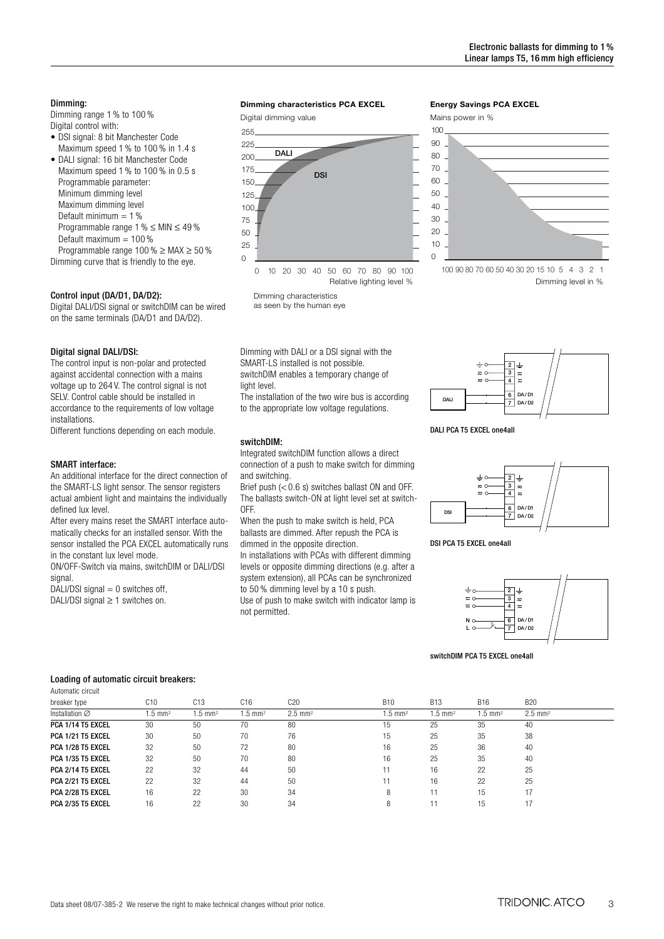#### Dimming:

Dimming range 1 % to 100 % Digital control with:

- DSI signal: 8 bit Manchester Code Maximum speed 1 % to 100 % in 1.4 s
- DALI signal: 16 bit Manchester Code Maximum speed 1 % to 100 % in 0.5 s Programmable parameter: Minimum dimming level Maximum dimming level Default minimum  $= 1\%$ Programmable range 1 % ≤ MIN ≤ 49 % Default maximum  $= 100\%$ Programmable range 100 % ≥ MAX ≥ 50 %

Dimming curve that is friendly to the eye.

## Control input (DA/D1, DA/D2):

Digital DALI/DSI signal or switchDIM can be wired on the same terminals (DA/D1 and DA/D2).

#### Digital signal DALI/DSI:

The control input is non-polar and protected against accidental connection with a mains voltage up to 264 V. The control signal is not SELV. Control cable should be installed in accordance to the requirements of low voltage installations.

Different functions depending on each module.

### SMART interface:

An additional interface for the direct connection of the SMART-LS light sensor. The sensor registers actual ambient light and maintains the individually defined lux level.

After every mains reset the SMART interface automatically checks for an installed sensor. With the sensor installed the PCA EXCEL automatically runs in the constant lux level mode.

ON/OFF-Switch via mains, switchDIM or DALI/DSI signal.

DALI/DSI signal  $= 0$  switches off,

DALI/DSI signal ≥ 1 switches on.

#### **Dimming characteristics PCA EXCEL**

Digital dimming value



Dimming characteristics as seen by the human eye

Dimming with DALI or a DSI signal with the SMART-LS installed is not possible. switchDIM enables a temporary change of light level.

The installation of the two wire bus is according to the appropriate low voltage regulations.

#### switchDIM:

Integrated switchDIM function allows a direct connection of a push to make switch for dimming and switching.

Brief push (< 0.6 s) switches ballast ON and OFF. The ballasts switch-ON at light level set at switch-OFF.

When the push to make switch is held, PCA ballasts are dimmed. After repush the PCA is

dimmed in the opposite direction.

In installations with PCAs with different dimming levels or opposite dimming directions (e.g. after a system extension), all PCAs can be synchronized to 50 % dimming level by a 10 s push.

Use of push to make switch with indicator lamp is not permitted.

### **Energy Savings PCA EXCEL**





Dimming level in %



DALI PCA T5 EXCEL one4all



DSI PCA T5 EXCEL one4all



switchDIM PCA T5 EXCEL one4all

#### Loading of automatic circuit breakers:

| Automatic circuit        |                   |                   |                    |                      |                    |                    |                    |                       |  |
|--------------------------|-------------------|-------------------|--------------------|----------------------|--------------------|--------------------|--------------------|-----------------------|--|
| breaker type             | C10               | C13               | C16                | C20                  | <b>B10</b>         | <b>B13</b>         | <b>B16</b>         | <b>B20</b>            |  |
| Installation Ø           | $.5 \text{ mm}^2$ | $.5 \text{ mm}^2$ | $1.5 \text{ mm}^2$ | $2.5 \, \text{mm}^2$ | $1.5 \text{ mm}^2$ | $1.5 \text{ mm}^2$ | $1.5 \text{ mm}^2$ | $2.5$ mm <sup>2</sup> |  |
| PCA 1/14 T5 EXCEL        | 30                | 50                | 70                 | 80                   | 15                 | 25                 | 35                 | 40                    |  |
| PCA 1/21 T5 EXCEL        | 30                | 50                | 70                 | 76                   | 15                 | 25                 | 35                 | 38                    |  |
| PCA 1/28 T5 EXCEL        | 32                | 50                | 72                 | 80                   | 16                 | 25                 | 36                 | 40                    |  |
| PCA 1/35 T5 EXCEL        | 32                | 50                | 70                 | 80                   | 16                 | 25                 | 35                 | 40                    |  |
| PCA 2/14 T5 EXCEL        | 22                | 32                | 44                 | 50                   |                    | 16                 | 22                 | 25                    |  |
| <b>PCA 2/21 T5 EXCEL</b> | 22                | 32                | 44                 | 50                   |                    | 16                 | 22                 | 25                    |  |
| <b>PCA 2/28 T5 EXCEL</b> | 16                | 22                | 30                 | 34                   |                    |                    | 15                 |                       |  |
| PCA 2/35 T5 EXCEL        | 16                | 22                | 30                 | 34                   |                    |                    | 15                 |                       |  |